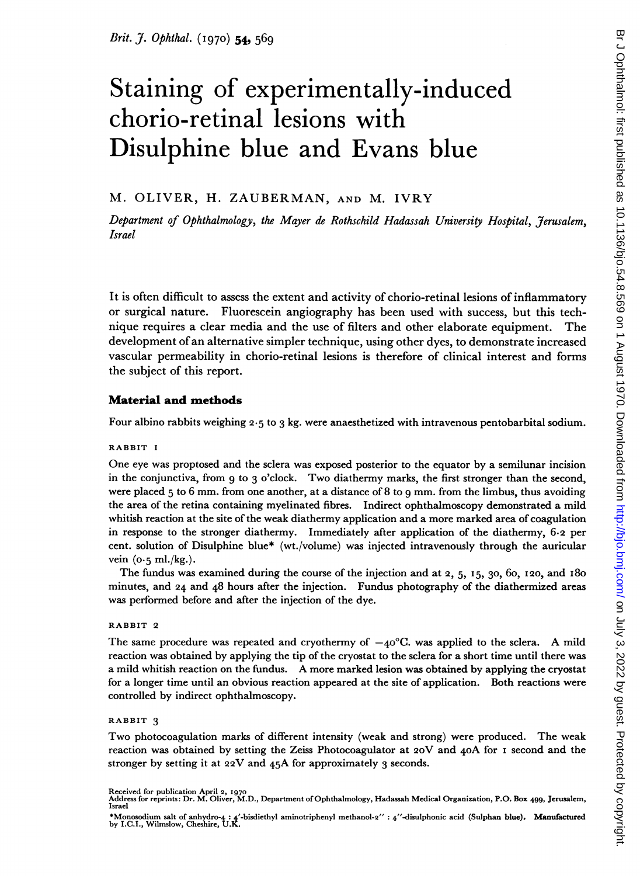# Staining of experimentally-induced chorio-retinal lesions with Disulphine blue and Evans blue

### M. OLIVER, H. ZAUBERMAN, AND M. IVRY

Department of Ophthalmology, the Mayer de Rothschild Hadassah University Hospital, Jerusalem, Israel

It is often difficult to assess the extent and activity of chorio-retinal lesions of inflammatory or surgical nature. Fluorescein angiography has been used with success, but this technique requires a clear media and the use of filters and other elaborate equipment. The development ofan alternative simpler technique, using other dyes, to demonstrate increased vascular permeability in chorio-retinal lesions is therefore of clinical interest and forms the subject of this report.

### Material and methods

Four albino rabbits weighing 2.5 to 3 kg. were anaesthetized with intravenous pentobarbital sodium.

### RABBIT <sup>I</sup>

One eye was proptosed and the sclera was exposed posterior to the equator by a semilunar incision in the conjunctiva, from <sup>9</sup> to <sup>3</sup> <sup>o</sup>'clock. Two diathermy marks, the first stronger than the second, were placed 5 to 6 mm. from one another, at a distance of 8 to 9 mm. from the limbus, thus avoiding the area of the retina containing myelinated fibres. Indirect ophthalmoscopy demonstrated a mild whitish reaction at the site of the weak diathermy application and a more marked area of coagulation in response to the stronger diathermy. Immediately after application of the diathermy, 6.2 per cent. solution of Disulphine blue\* (wt./volume) was injected intravenously through the auricular vein  $(o.5 \text{ ml./kg.}).$ 

The fundus was examined during the course of the injection and at 2, 5, I5, 30, 6o, I20, and I8o minutes, and 24 and 48 hours after the injection. Fundus photography of the diathermized areas was performed before and after the injection of the dye.

### RABBIT 2

The same procedure was repeated and cryothermy of  $-40^{\circ}$ C. was applied to the sclera. A mild reaction was obtained by applying the tip of the cryostat to the sclera for a short time until there was <sup>a</sup> mild whitish reaction on the fundus. A more marked lesion was obtained by applying the cryostat for a longer time until an obvious reaction appeared at the site of application. Both reactions were controlled by indirect ophthalmoscopy.

### RABBIT 3

Two photocoagulation marks of different intensity (weak and strong) were produced. The weak reaction was obtained by setting the Zeiss Photocoagulator at 20V and 40A for <sup>I</sup> second and the stronger by setting it at 22V and 45A for approximately <sup>3</sup> seconds.

Received for publication April 2, 1970<br>Address for reprints: Dr. M. Oliver, M.D., Department of Ophthalmology, Hadassah Medical Organization, P.O. Box 499, Jerusalem,<br>Israel

<sup>\*</sup>Monosodium salt of anhydro-4 : <sup>4</sup>'-bisdiethyl aminotriphenyl methanol-2" : 4"-disulphonic acid (Sulphan blue). Manufactured by I.C.I., Wilnslow, Cheshire, U.K.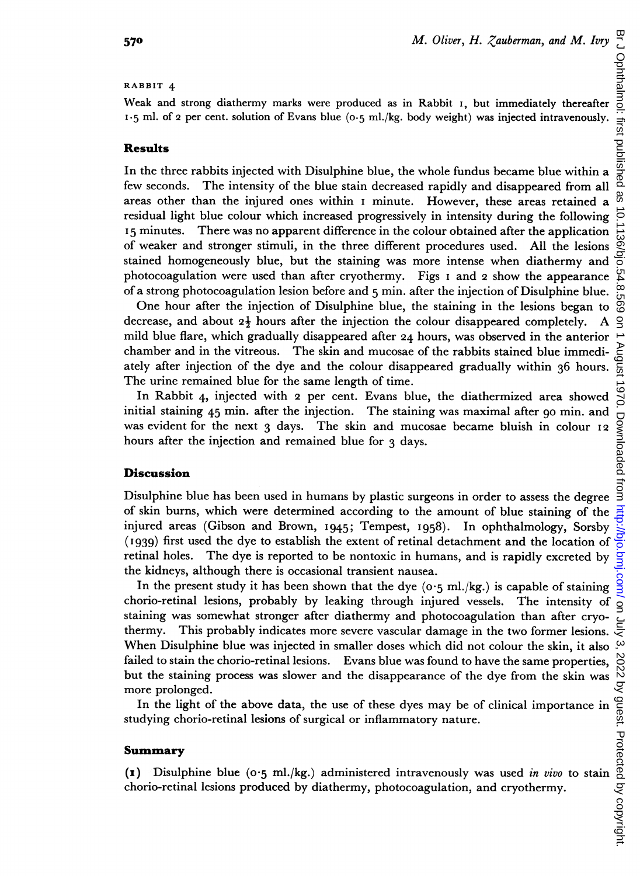# on July 3, 2022 by guest. Protected by copyright. <http://bjo.bmj.com/> Br J Ophthalmol: first published as 10.1136/bjo.54.8.569 on 1 August 1970. Downloaded from Ophthalmol: first published 8S Qio စ္က ă August 970. Downloaded from

### RABBIT 4

Weak and strong diathermy marks were produced as in Rabbit i, but immediately thereafter 1-5 ml. of 2 per cent. solution of Evans blue (o.s ml./kg. body weight) was injected intravenously.

### Results

In the three rabbits injected with Disulphine blue, the whole fundus became blue within a few seconds. The intensity of the blue stain decreased rapidly and disappeared from all areas other than the injured ones within <sup>I</sup> minute. However, these areas retained a residual light blue colour which increased progressively in intensity during the following <sup>I</sup> 5 minutes. There was no apparent difference in the colour obtained after the application of weaker and stronger stimuli, in the three different procedures used. All the lesions stained homogeneously blue, but the staining was more intense when diathermy and photocoagulation were used than after cryothermy. Figs <sup>I</sup> and 2 show the appearance of a strong photocoagulation lesion before and 5 mm. after the injection of Disulphine blue.

One hour after the injection of Disulphine blue, the staining in the lesions began to decrease, and about  $2\frac{1}{2}$  hours after the injection the colour disappeared completely. A mild blue flare, which gradually disappeared after 24 hours, was observed in the anterior chamber and in the vitreous. The skin and mucosae of the rabbits stained blue immediately after injection of the dye and the colour disappeared gradually within 36 hours. The urine remained blue for the same length of time.

In Rabbit 4, injected with 2 per cent. Evans blue, the diathermized area showed initial staining 45 min. after the injection. The staining was maximal after go min. and was evident for the next  $3$  days. The skin and mucosae became bluish in colour  $12$ hours after the injection and remained blue for 3 days.

# Discussion

Disulphine blue has been used in humans by plastic surgeons in order to assess the degree of skin burns, which were determined according to the amount of blue staining of the injured areas (Gibson and Brown, I945; Tempest, I958). In ophthalmology, Sorsby (I939) first used the dye to establish the extent of retinal detachment and the location of retinal holes. The dye is reported to be nontoxic in humans, and is rapidly excreted by the kidneys, although there is occasional transient nausea.

In the present study it has been shown that the dye ( $o \cdot 5$  ml./kg.) is capable of staining chorio-retinal lesions, probably by leaking through injured vessels. The intensity of staining was somewhat stronger after diathermy and photocoagulation than after cryothermy. This probably indicates more severe vascular damage in the two former lesions. When Disulphine blue was injected in smaller doses which did not colour the skin, it also ڛ failed to stain the chorio-retinal lesions. Evans blue was found to have the same properties, In the choric-retinal lesions. Evans blue was found to have the same properties,  $\frac{100}{100}$ <br>
In the staining process was slower and the disappearance of the dye from the skin was  $\frac{100}{100}$ <br>
In the light of the abov but the staining process was slower and the disappearance of the dye from the skin was more prolonged.

studying chorio-retinal lesions of surgical or inflammatory nature.

# Summary

(1) Disulphine blue (0.5 ml./kg.) administered intravenously was used in vivo to stain chorio-retinal lesions produced by diathermy, photocoagulation, and cryothermy.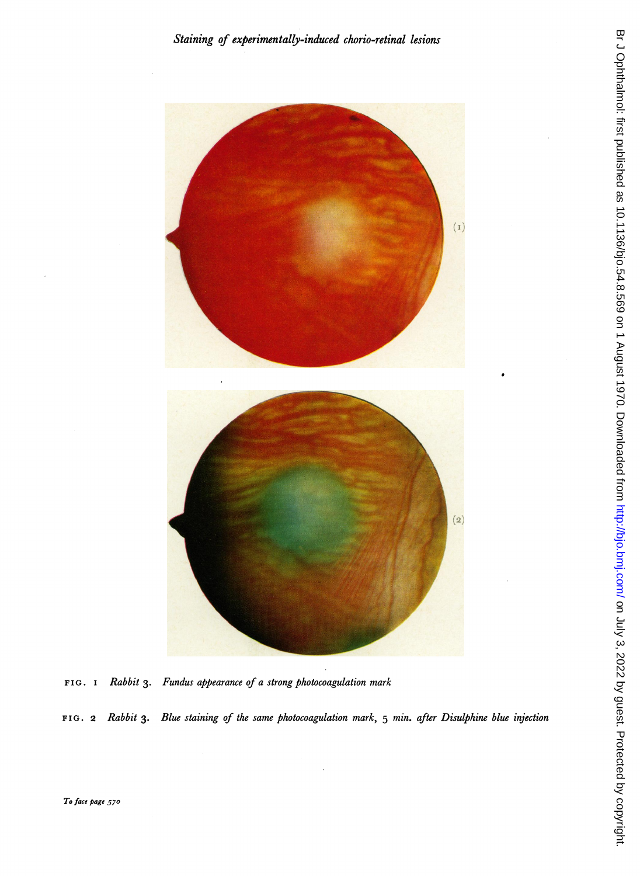

FIG. I Rabbit 3. Fundus appearance of a strong photocoagulation mark

FIG. 2 Rabbit 3. Blue staining of the same photocoagulation mark, 5 min. after Disulphine blue injection